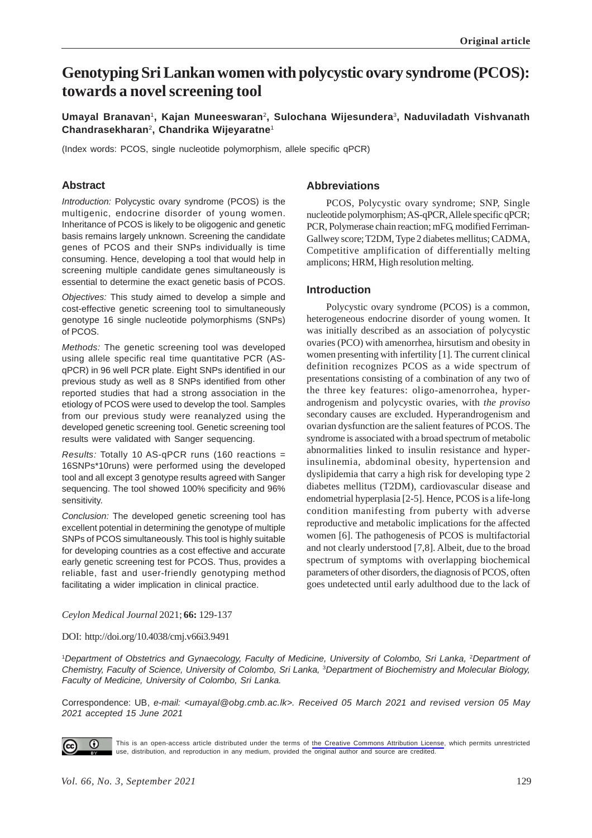# **Genotyping Sri Lankan women with polycystic ovary syndrome (PCOS): towards a novel screening tool**

# **Umayal Branavan**1**, Kajan Muneeswaran**<sup>2</sup> **, Sulochana Wijesundera**3**, Naduviladath Vishvanath Chandrasekharan**2**, Chandrika Wijeyaratne**<sup>1</sup>

(Index words: PCOS, single nucleotide polymorphism, allele specific qPCR)

# **Abstract**

*Introduction:* Polycystic ovary syndrome (PCOS) is the multigenic, endocrine disorder of young women. Inheritance of PCOS is likely to be oligogenic and genetic basis remains largely unknown. Screening the candidate genes of PCOS and their SNPs individually is time consuming. Hence, developing a tool that would help in screening multiple candidate genes simultaneously is essential to determine the exact genetic basis of PCOS.

*Objectives:* This study aimed to develop a simple and cost-effective genetic screening tool to simultaneously genotype 16 single nucleotide polymorphisms (SNPs) of PCOS.

*Methods:* The genetic screening tool was developed using allele specific real time quantitative PCR (ASqPCR) in 96 well PCR plate. Eight SNPs identified in our previous study as well as 8 SNPs identified from other reported studies that had a strong association in the etiology of PCOS were used to develop the tool. Samples from our previous study were reanalyzed using the developed genetic screening tool. Genetic screening tool results were validated with Sanger sequencing.

*Results:* Totally 10 AS-qPCR runs (160 reactions = 16SNPs\*10runs) were performed using the developed tool and all except 3 genotype results agreed with Sanger sequencing. The tool showed 100% specificity and 96% sensitivity.

*Conclusion:* The developed genetic screening tool has excellent potential in determining the genotype of multiple SNPs of PCOS simultaneously. This tool is highly suitable for developing countries as a cost effective and accurate early genetic screening test for PCOS. Thus, provides a reliable, fast and user-friendly genotyping method facilitating a wider implication in clinical practice.

#### **Abbreviations**

PCOS, Polycystic ovary syndrome; SNP, Single nucleotide polymorphism; AS-qPCR, Allele specific qPCR; PCR, Polymerase chain reaction; mFG, modified Ferriman-Gallwey score; T2DM, Type 2 diabetes mellitus; CADMA, Competitive amplification of differentially melting amplicons; HRM, High resolution melting.

#### **Introduction**

Polycystic ovary syndrome (PCOS) is a common, heterogeneous endocrine disorder of young women. It was initially described as an association of polycystic ovaries (PCO) with amenorrhea, hirsutism and obesity in women presenting with infertility [1]. The current clinical definition recognizes PCOS as a wide spectrum of presentations consisting of a combination of any two of the three key features: oligo-amenorrohea, hyperandrogenism and polycystic ovaries, with *the proviso* secondary causes are excluded. Hyperandrogenism and ovarian dysfunction are the salient features of PCOS. The syndrome is associated with a broad spectrum of metabolic abnormalities linked to insulin resistance and hyperinsulinemia, abdominal obesity, hypertension and dyslipidemia that carry a high risk for developing type 2 diabetes mellitus (T2DM), cardiovascular disease and endometrial hyperplasia [2-5]. Hence, PCOS is a life-long condition manifesting from puberty with adverse reproductive and metabolic implications for the affected women [6]. The pathogenesis of PCOS is multifactorial and not clearly understood [7,8]. Albeit, due to the broad spectrum of symptoms with overlapping biochemical parameters of other disorders, the diagnosis of PCOS, often goes undetected until early adulthood due to the lack of

#### *Ceylon Medical Journal* 2021; **66:** 129-137

#### DOI: http://doi.org/10.4038/cmj.v66i3.9491

<sup>1</sup>Department of Obstetrics and Gynaecology, Faculty of Medicine, University of Colombo, Sri Lanka, <sup>2</sup>Department of *Chemistry, Faculty of Science, University of Colombo, Sri Lanka,* 3*Department of Biochemistry and Molecular Biology, Faculty of Medicine, University of Colombo, Sri Lanka.*

Correspondence: UB, *e-mail: <umayal@obg.cmb.ac.lk>. Received 05 March 2021 and revised version 05 May 2021 accepted 15 June 2021*



This is an open-access article distributed under the terms of [the Creative Commons Attribution License](https://creativecommons.org/licenses/by/4.0/legalcode), which permits unrestricted use, distribution, and reproduction in any medium, provided the original author and source are credited.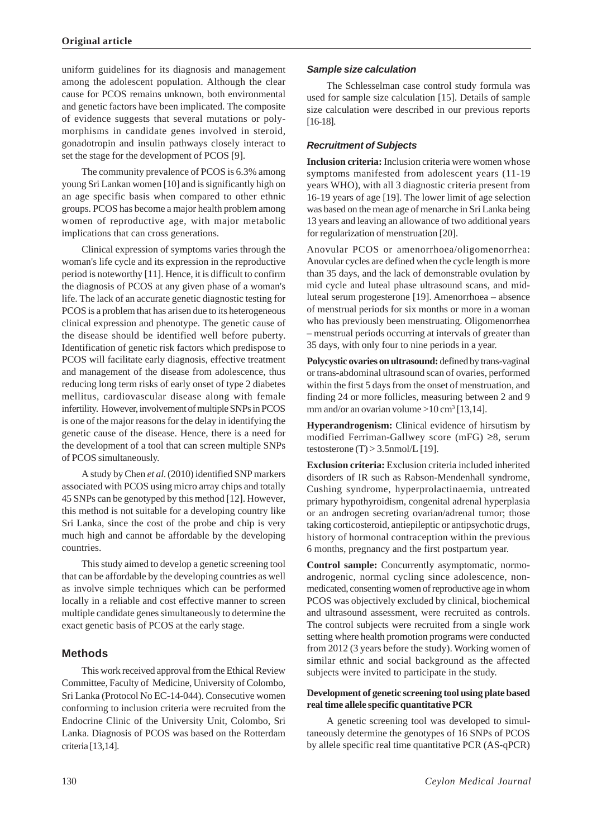uniform guidelines for its diagnosis and management among the adolescent population. Although the clear cause for PCOS remains unknown, both environmental and genetic factors have been implicated. The composite of evidence suggests that several mutations or polymorphisms in candidate genes involved in steroid, gonadotropin and insulin pathways closely interact to set the stage for the development of PCOS [9].

The community prevalence of PCOS is 6.3% among young Sri Lankan women [10] and is significantly high on an age specific basis when compared to other ethnic groups. PCOS has become a major health problem among women of reproductive age, with major metabolic implications that can cross generations.

Clinical expression of symptoms varies through the woman's life cycle and its expression in the reproductive period is noteworthy [11]. Hence, it is difficult to confirm the diagnosis of PCOS at any given phase of a woman's life. The lack of an accurate genetic diagnostic testing for PCOS is a problem that has arisen due to its heterogeneous clinical expression and phenotype. The genetic cause of the disease should be identified well before puberty. Identification of genetic risk factors which predispose to PCOS will facilitate early diagnosis, effective treatment and management of the disease from adolescence, thus reducing long term risks of early onset of type 2 diabetes mellitus, cardiovascular disease along with female infertility. However, involvement of multiple SNPs in PCOS is one of the major reasons for the delay in identifying the genetic cause of the disease. Hence, there is a need for the development of a tool that can screen multiple SNPs of PCOS simultaneously.

A study by Chen *et al*. (2010) identified SNP markers associated with PCOS using micro array chips and totally 45 SNPs can be genotyped by this method [12]. However, this method is not suitable for a developing country like Sri Lanka, since the cost of the probe and chip is very much high and cannot be affordable by the developing countries.

This study aimed to develop a genetic screening tool that can be affordable by the developing countries as well as involve simple techniques which can be performed locally in a reliable and cost effective manner to screen multiple candidate genes simultaneously to determine the exact genetic basis of PCOS at the early stage.

# **Methods**

This work received approval from the Ethical Review Committee, Faculty of Medicine, University of Colombo, Sri Lanka (Protocol No EC-14-044). Consecutive women conforming to inclusion criteria were recruited from the Endocrine Clinic of the University Unit, Colombo, Sri Lanka. Diagnosis of PCOS was based on the Rotterdam criteria [13,14].

#### *Sample size calculation*

The Schlesselman case control study formula was used for sample size calculation [15]. Details of sample size calculation were described in our previous reports [16-18].

#### *Recruitment of Subjects*

**Inclusion criteria:** Inclusion criteria were women whose symptoms manifested from adolescent years (11-19 years WHO), with all 3 diagnostic criteria present from 16-19 years of age [19]. The lower limit of age selection was based on the mean age of menarche in Sri Lanka being 13 years and leaving an allowance of two additional years for regularization of menstruation [20].

Anovular PCOS or amenorrhoea/oligomenorrhea: Anovular cycles are defined when the cycle length is more than 35 days, and the lack of demonstrable ovulation by mid cycle and luteal phase ultrasound scans, and midluteal serum progesterone [19]. Amenorrhoea – absence of menstrual periods for six months or more in a woman who has previously been menstruating. Oligomenorrhea – menstrual periods occurring at intervals of greater than 35 days, with only four to nine periods in a year.

**Polycystic ovaries on ultrasound:** defined by trans-vaginal or trans-abdominal ultrasound scan of ovaries, performed within the first 5 days from the onset of menstruation, and finding 24 or more follicles, measuring between 2 and 9 mm and/or an ovarian volume  $>10$  cm<sup>3</sup> [13,14].

**Hyperandrogenism:** Clinical evidence of hirsutism by modified Ferriman-Gallwey score (mFG) ≥8, serum testosterone  $(T) > 3.5$ nmol/L [19].

**Exclusion criteria:** Exclusion criteria included inherited disorders of IR such as Rabson-Mendenhall syndrome, Cushing syndrome, hyperprolactinaemia, untreated primary hypothyroidism, congenital adrenal hyperplasia or an androgen secreting ovarian/adrenal tumor; those taking corticosteroid, antiepileptic or antipsychotic drugs, history of hormonal contraception within the previous 6 months, pregnancy and the first postpartum year.

**Control sample:** Concurrently asymptomatic, normoandrogenic, normal cycling since adolescence, nonmedicated, consenting women of reproductive age in whom PCOS was objectively excluded by clinical, biochemical and ultrasound assessment, were recruited as controls. The control subjects were recruited from a single work setting where health promotion programs were conducted from 2012 (3 years before the study). Working women of similar ethnic and social background as the affected subjects were invited to participate in the study.

#### **Development of genetic screening tool using plate based real time allele specific quantitative PCR**

A genetic screening tool was developed to simultaneously determine the genotypes of 16 SNPs of PCOS by allele specific real time quantitative PCR (AS-qPCR)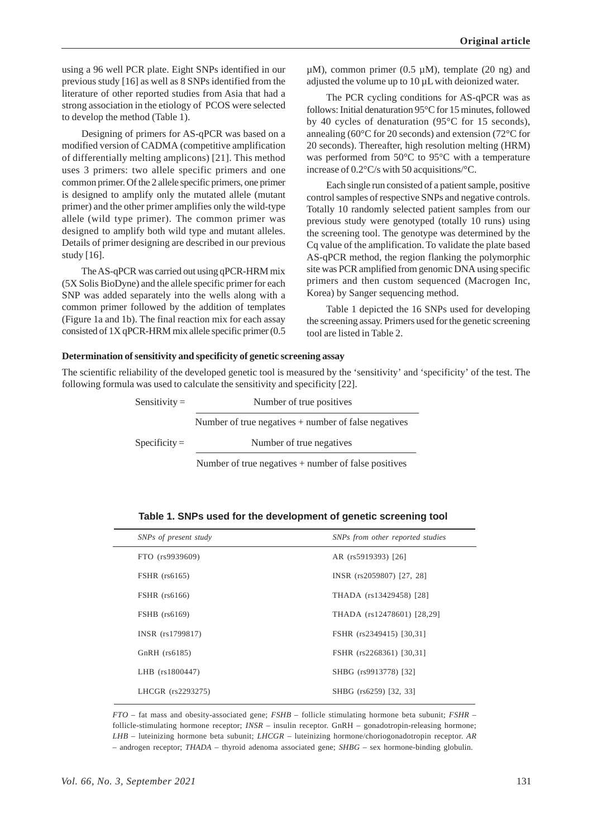using a 96 well PCR plate. Eight SNPs identified in our previous study [16] as well as 8 SNPs identified from the literature of other reported studies from Asia that had a strong association in the etiology of PCOS were selected to develop the method (Table 1).

Designing of primers for AS-qPCR was based on a modified version of CADMA (competitive amplification of differentially melting amplicons) [21]. This method uses 3 primers: two allele specific primers and one common primer. Of the 2 allele specific primers, one primer is designed to amplify only the mutated allele (mutant primer) and the other primer amplifies only the wild-type allele (wild type primer). The common primer was designed to amplify both wild type and mutant alleles. Details of primer designing are described in our previous study [16].

The AS-qPCR was carried out using qPCR-HRM mix (5X Solis BioDyne) and the allele specific primer for each SNP was added separately into the wells along with a common primer followed by the addition of templates (Figure 1a and 1b). The final reaction mix for each assay consisted of 1X qPCR-HRM mix allele specific primer (0.5

 $\mu$ M), common primer (0.5  $\mu$ M), template (20 ng) and adjusted the volume up to 10 µL with deionized water.

The PCR cycling conditions for AS-qPCR was as follows: Initial denaturation 95°C for 15 minutes, followed by 40 cycles of denaturation (95°C for 15 seconds), annealing (60°C for 20 seconds) and extension (72°C for 20 seconds). Thereafter, high resolution melting (HRM) was performed from 50°C to 95°C with a temperature increase of 0.2°C/s with 50 acquisitions/°C.

Each single run consisted of a patient sample, positive control samples of respective SNPs and negative controls. Totally 10 randomly selected patient samples from our previous study were genotyped (totally 10 runs) using the screening tool. The genotype was determined by the Cq value of the amplification. To validate the plate based AS-qPCR method, the region flanking the polymorphic site was PCR amplified from genomic DNA using specific primers and then custom sequenced (Macrogen Inc, Korea) by Sanger sequencing method.

Table 1 depicted the 16 SNPs used for developing the screening assay. Primers used for the genetic screening tool are listed in Table 2.

#### **Determination of sensitivity and specificity of genetic screening assay**

The scientific reliability of the developed genetic tool is measured by the 'sensitivity' and 'specificity' of the test. The following formula was used to calculate the sensitivity and specificity [22].

| Sensitivity $=$ | Number of true positives                               |
|-----------------|--------------------------------------------------------|
|                 | Number of true negatives $+$ number of false negatives |
| $Specificity =$ | Number of true negatives                               |
|                 | Number of true negatives $+$ number of false positives |

| SNPs of present study | SNPs from other reported studies |
|-----------------------|----------------------------------|
| FTO (rs9939609)       | AR (rs5919393) [26]              |
| <b>FSHR</b> (rs6165)  | INSR (rs2059807) [27, 28]        |
| <b>FSHR</b> (rs6166)  | THADA (rs13429458) [28]          |
| FSHB (rs6169)         | THADA (rs12478601) [28,29]       |
| INSR (rs1799817)      | FSHR (rs2349415) [30,31]         |
| $GnRH$ (rs $6185$ )   | FSHR (rs2268361) [30,31]         |
| LHB (rs1800447)       | SHBG (rs9913778) [32]            |
| LHCGR (rs2293275)     | SHBG (rs6259) [32, 33]           |

**Table 1. SNPs used for the development of genetic screening tool**

*FTO* – fat mass and obesity-associated gene; *FSHB* – follicle stimulating hormone beta subunit; *FSHR* – follicle-stimulating hormone receptor; *INSR* – insulin receptor. GnRH – gonadotropin-releasing hormone; *LHB* – luteinizing hormone beta subunit; *LHCGR* – luteinizing hormone/choriogonadotropin receptor. *AR* – androgen receptor; *THADA* – thyroid adenoma associated gene; *SHBG* – sex hormone-binding globulin.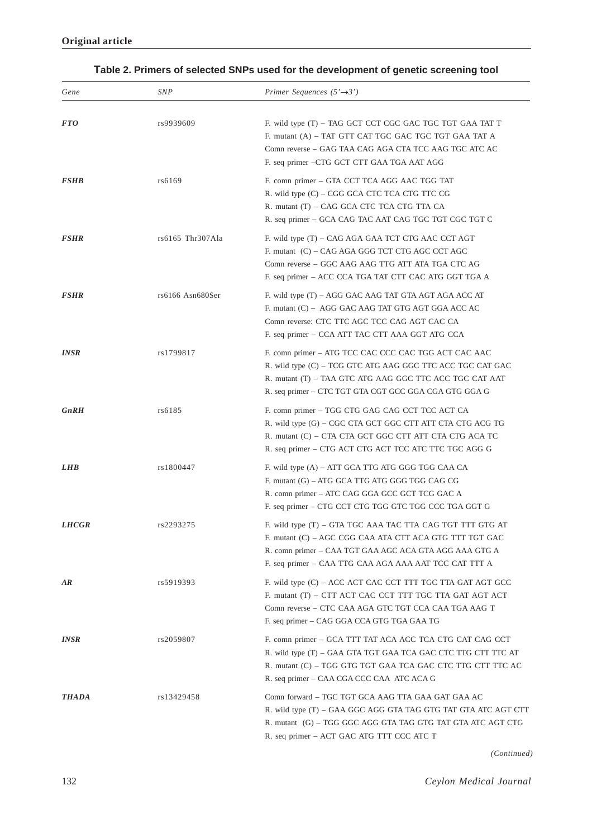# **Table 2. Primers of selected SNPs used for the development of genetic screening tool**

| Gene                | SNP              | Primer Sequences $(5' \rightarrow 3')$                                                                                                                                                                                                  |
|---------------------|------------------|-----------------------------------------------------------------------------------------------------------------------------------------------------------------------------------------------------------------------------------------|
| <b>FTO</b>          | rs9939609        | F. wild type (T) – TAG GCT CCT CGC GAC TGC TGT GAA TAT T<br>F. mutant (A) - TAT GTT CAT TGC GAC TGC TGT GAA TAT A<br>Comn reverse – GAG TAA CAG AGA CTA TCC AAG TGC ATC AC<br>F. seq primer – CTG GCT CTT GAA TGA AAT AGG               |
| <b>FSHB</b>         | rs6169           | F. comn primer – GTA CCT TCA AGG AAC TGG TAT<br>R. wild type (C) – CGG GCA CTC TCA CTG TTC CG<br>R. mutant (T) – CAG GCA CTC TCA CTG TTA CA<br>R. seq primer - GCA CAG TAC AAT CAG TGC TGT CGC TGT C                                    |
| <b>FSHR</b>         | rs6165 Thr307Ala | F. wild type (T) – CAG AGA GAA TCT CTG AAC CCT AGT<br>F. mutant (C) – CAG AGA GGG TCT CTG AGC CCT AGC<br>Comn reverse - GGC AAG AAG TTG ATT ATA TGA CTC AG<br>F. seq primer – ACC CCA TGA TAT CTT CAC ATG GGT TGA A                     |
| <b>FSHR</b>         | rs6166 Asn680Ser | F. wild type (T) – AGG GAC AAG TAT GTA AGT AGA ACC AT<br>F. mutant (C) - AGG GAC AAG TAT GTG AGT GGA ACC AC<br>Comn reverse: CTC TTC AGC TCC CAG AGT CAC CA<br>F. seq primer – CCA ATT TAC CTT AAA GGT ATG CCA                          |
| <b>INSR</b>         | rs1799817        | F. comn primer – ATG TCC CAC CCC CAC TGG ACT CAC AAC<br>R. wild type (C) – TCG GTC ATG AAG GGC TTC ACC TGC CAT GAC<br>R. mutant (T) – TAA GTC ATG AAG GGC TTC ACC TGC CAT AAT<br>R. seq primer – CTC TGT GTA CGT GCC GGA CGA GTG GGA G  |
| <b>GnRH</b>         | rs6185           | F. comn primer – TGG CTG GAG CAG CCT TCC ACT CA<br>R. wild type (G) – CGC CTA GCT GGC CTT ATT CTA CTG ACG TG<br>R. mutant (C) – CTA CTA GCT GGC CTT ATT CTA CTG ACA TC<br>R. seq primer – CTG ACT CTG ACT TCC ATC TTC TGC AGG G         |
| <b>LHB</b>          | rs1800447        | F. wild type (A) – ATT GCA TTG ATG GGG TGG CAA CA<br>F. mutant (G) – ATG GCA TTG ATG GGG TGG CAG CG<br>R. comn primer – ATC CAG GGA GCC GCT TCG GAC A<br>F. seq primer - CTG CCT CTG TGG GTC TGG CCC TGA GGT G                          |
| <i><b>LHCGR</b></i> | rs2293275        | F. wild type (T) – GTA TGC AAA TAC TTA CAG TGT TTT GTG AT<br>F. mutant (C) – AGC CGG CAA ATA CTT ACA GTG TTT TGT GAC<br>R. comn primer – CAA TGT GAA AGC ACA GTA AGG AAA GTG A<br>F. seq primer – CAA TTG CAA AGA AAA AAT TCC CAT TTT A |
| AR                  | rs5919393        | F. wild type (C) – ACC ACT CAC CCT TTT TGC TTA GAT AGT GCC<br>F. mutant (T) – CTT ACT CAC CCT TTT TGC TTA GAT AGT ACT<br>Comn reverse – CTC CAA AGA GTC TGT CCA CAA TGA AAG T<br>F. seq primer – CAG GGA CCA GTG TGA GAA TG             |
| <b>INSR</b>         | rs2059807        | F. comn primer – GCA TTT TAT ACA ACC TCA CTG CAT CAG CCT<br>R. wild type (T) - GAA GTA TGT GAA TCA GAC CTC TTG CTT TTC AT<br>R. mutant (C) – TGG GTG TGT GAA TCA GAC CTC TTG CTT TTC AC<br>R. seq primer - CAA CGA CCC CAA ATC ACA G    |
| <b>THADA</b>        | rs13429458       | Comn forward - TGC TGT GCA AAG TTA GAA GAT GAA AC<br>R. wild type (T) – GAA GGC AGG GTA TAG GTG TAT GTA ATC AGT CTT<br>R. mutant (G) – TGG GGC AGG GTA TAG GTG TAT GTA ATC AGT CTG<br>R. seq primer – ACT GAC ATG TTT CCC ATC T         |

*(Continued)*

132 *Ceylon Medical Journal*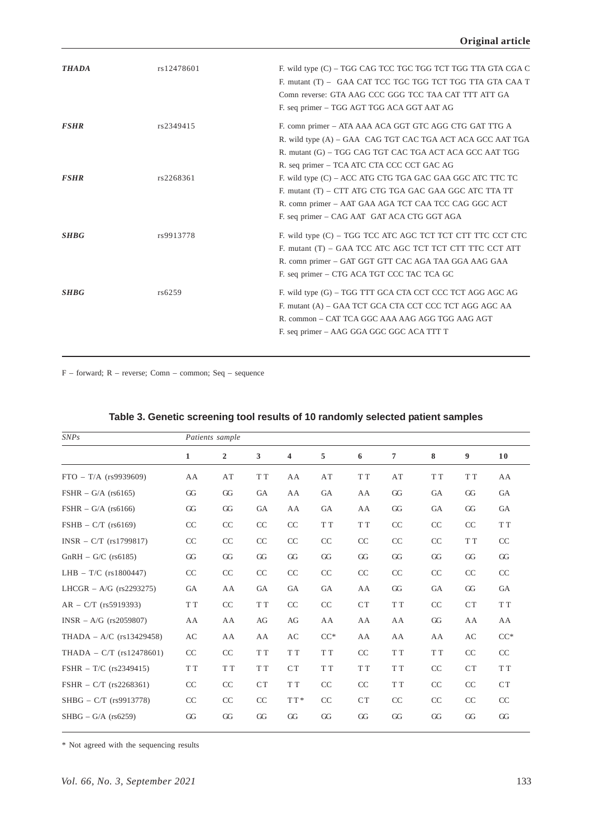| <b>THADA</b> | rs12478601 | F. wild type (C) – TGG CAG TCC TGC TGG TCT TGG TTA GTA CGA C<br>F. mutant (T) - GAA CAT TCC TGC TGG TCT TGG TTA GTA CAA T<br>Comn reverse: GTA AAG CCC GGG TCC TAA CAT TTT ATT GA<br>F. seq primer - TGG AGT TGG ACA GGT AAT AG |
|--------------|------------|---------------------------------------------------------------------------------------------------------------------------------------------------------------------------------------------------------------------------------|
| <b>FSHR</b>  | rs2349415  | F. comn primer - ATA AAA ACA GGT GTC AGG CTG GAT TTG A<br>R. wild type (A) – GAA CAG TGT CAC TGA ACT ACA GCC AAT TGA<br>R. mutant (G) – TGG CAG TGT CAC TGA ACT ACA GCC AAT TGG<br>R. seq primer - TCA ATC CTA CCC CCT GAC AG   |
| <b>FSHR</b>  | rs2268361  | F. wild type (C) – ACC ATG CTG TGA GAC GAA GGC ATC TTC TC<br>F. mutant (T) – CTT ATG CTG TGA GAC GAA GGC ATC TTA TT<br>R. comn primer - AAT GAA AGA TCT CAA TCC CAG GGC ACT<br>F. seq primer – CAG AAT GAT ACA CTG GGT AGA      |
| <b>SHBG</b>  | rs9913778  | F. wild type (C) – TGG TCC ATC AGC TCT TCT CTT TTC CCT CTC<br>F. mutant (T) – GAA TCC ATC AGC TCT TCT CTT TTC CCT ATT<br>R. comn primer - GAT GGT GTT CAC AGA TAA GGA AAG GAA<br>F. seq primer – CTG ACA TGT CCC TAC TCA GC     |
| <b>SHBG</b>  | rs6259     | F. wild type (G) – TGG TTT GCA CTA CCT CCC TCT AGG AGC AG<br>F. mutant (A) - GAA TCT GCA CTA CCT CCC TCT AGG AGC AA<br>R. common - CAT TCA GGC AAA AAG AGG TGG AAG AGT<br>F. seq primer – AAG GGA GGC GGC ACA TTT T             |

F – forward; R – reverse; Comn – common; Seq – sequence

| SNPs                       | Patients sample |                |     |           |                     |     |                     |     |           |                       |
|----------------------------|-----------------|----------------|-----|-----------|---------------------|-----|---------------------|-----|-----------|-----------------------|
|                            | $\mathbf{1}$    | $\overline{2}$ | 3   | 4         | 5                   | 6   | 7                   | 8   | 9         | 10                    |
| $FTO - T/A$ (rs9939609)    | AA              | AT             | T T | AA        | AT                  | T T | AT                  | T T | T T       | AA                    |
| $FSHR - G/A$ (rs6165)      | GG              | GG             | GA  | AA        | GA                  | AA  | GG                  | GA  | GG        | GA                    |
| $FSHR - G/A$ (rs6166)      | GG              | GG             | GA  | AA        | GA                  | AA  | GG                  | GA  | GG        | GA                    |
| $FSHB - C/T$ (rs6169)      | CC              | CC             | CC  | CC        | T T                 | T T | CC                  | CC  | CC        | ${\cal T}$ ${\cal T}$ |
| $INSR - C/T$ (rs1799817)   | CC              | CC             | CC  | CC        | CC                  | CC  | CC                  | CC  | T T       | CC                    |
| $GnRH - G/C$ (rs6185)      | GG              | GG             | GG  | GG        | GG                  | GG  | GG                  | GG  | GG        | GG                    |
| LHB $- T/C$ (rs1800447)    | CC              | CC             | CC  | CC        | CC                  | CC  | CC                  | CC  | CC        | CC                    |
| LHCGR – A/G $(rs2293275)$  | <b>GA</b>       | AA             | GA  | GA        | GA                  | AA  | GG                  | GA  | GG        | GA                    |
| $AR - C/T$ (rs5919393)     | T T             | CC             | T T | CC        | CC                  | CT  | ${\rm T}$ ${\rm T}$ | CC  | <b>CT</b> | T T                   |
| $INSR - A/G$ (rs2059807)   | AA              | AA             | AG  | AG        | AA                  | AA  | AA                  | GG  | AA        | AA                    |
| THADA – $A/C$ (rs13429458) | AC              | AA             | AA  | AC        | $CC^*$              | AA  | AA                  | AA  | AC        | $CC*$                 |
| THADA - $C/T$ (rs12478601) | CC              | CC             | T T | T T       | ${\rm T}$ ${\rm T}$ | CC  | T T                 | T T | CC        | CC                    |
| FSHR $-$ T/C (rs2349415)   | T T             | T T            | T T | <b>CT</b> | T T                 | T T | T T                 | CC  | <b>CT</b> | T T                   |
| FSHR $- C/T$ (rs2268361)   | CC              | CC             | CT  | T T       | CC                  | CC  | T T                 | CC  | CC        | CT                    |
| SHBG - C/T (rs9913778)     | CC              | CC             | CC  | TT*       | CC                  | CT  | CC                  | CC  | CC        | CC                    |
| $SHBG - G/A$ (rs6259)      | GG              | GG             | GG  | GG        | GG                  | GG  | GG                  | GG  | GG        | GG                    |

# **Table 3. Genetic screening tool results of 10 randomly selected patient samples**

\* Not agreed with the sequencing results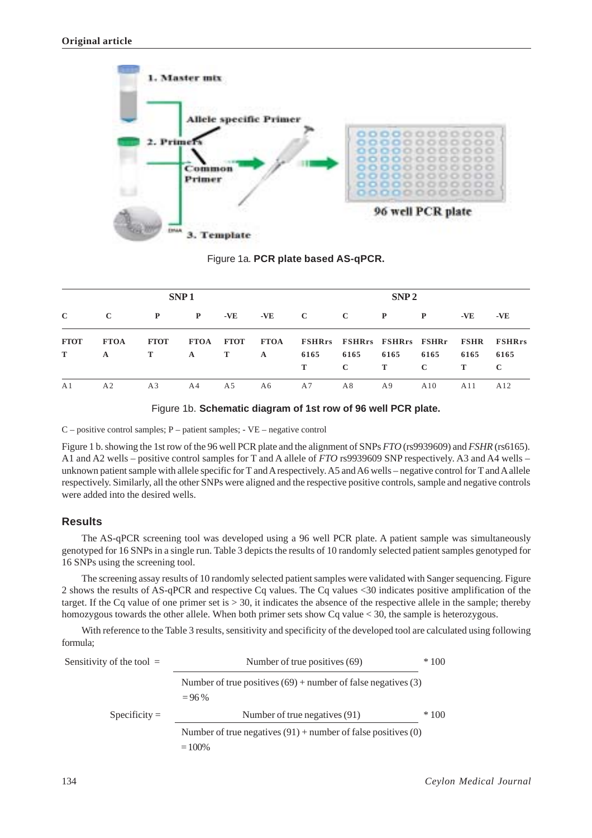

Figure 1a. **PCR plate based AS-qPCR.**

|                  |                  | SNP <sub>1</sub> |              | SNP <sub>2</sub> |              |                                                                               |                     |                  |                      |           |                     |
|------------------|------------------|------------------|--------------|------------------|--------------|-------------------------------------------------------------------------------|---------------------|------------------|----------------------|-----------|---------------------|
| $\mathbf C$      | $\mathbf C$      | $\mathbf{P}$     | $\mathbf{P}$ | $-VE$            | $-VE$        | $\bf C$ and $\bf C$                                                           | $\mathbf{C}$        | $\mathbf{P}$     | $\mathbf{P}$         | -VE       | -VE                 |
| <b>FTOT</b><br>T | <b>FTOA</b><br>A | <b>FTOT</b><br>Т | $\mathbf{A}$ | T                | $\mathbf{A}$ | FTOA FTOT FTOA FSHRrs FSHRrs FSHRrs FSHRr FSHR FSHRrs<br>6165<br>$\mathbf{T}$ | 6165<br>$\mathbf C$ | 6165<br>$\bf{T}$ | 6165<br>$\mathbf{C}$ | 6165<br>T | 6165<br>$\mathbf C$ |
| A <sub>1</sub>   | A <sub>2</sub>   | A <sub>3</sub>   | A4           | A5               | A6           | A7                                                                            | A8                  | A9               | A10                  | A11       | A12                 |

Figure 1b. **Schematic diagram of 1st row of 96 well PCR plate.**

C – positive control samples; P – patient samples; - VE – negative control

Figure 1 b. showing the 1st row of the 96 well PCR plate and the alignment of SNPs *FTO* (rs9939609) and *FSHR* (rs6165). A1 and A2 wells – positive control samples for T and A allele of *FTO* rs9939609 SNP respectively. A3 and A4 wells – unknown patient sample with allele specific for T and A respectively. A5 and A6 wells – negative control for T and A allele respectively. Similarly, all the other SNPs were aligned and the respective positive controls, sample and negative controls were added into the desired wells.

## **Results**

The AS-qPCR screening tool was developed using a 96 well PCR plate. A patient sample was simultaneously genotyped for 16 SNPs in a single run. Table 3 depicts the results of 10 randomly selected patient samples genotyped for 16 SNPs using the screening tool.

The screening assay results of 10 randomly selected patient samples were validated with Sanger sequencing. Figure 2 shows the results of AS-qPCR and respective Cq values. The Cq values <30 indicates positive amplification of the target. If the Cq value of one primer set is  $> 30$ , it indicates the absence of the respective allele in the sample; thereby homozygous towards the other allele. When both primer sets show Cq value < 30, the sample is heterozygous.

With reference to the Table 3 results, sensitivity and specificity of the developed tool are calculated using following formula;

| Sensitivity of the tool $=$ | $*100$<br>Number of true positives (69)                                      |  |  |  |  |  |  |
|-----------------------------|------------------------------------------------------------------------------|--|--|--|--|--|--|
|                             | Number of true positives $(69)$ + number of false negatives (3)<br>$= 96\%$  |  |  |  |  |  |  |
| $Specificity =$             | $*100$<br>Number of true negatives (91)                                      |  |  |  |  |  |  |
|                             | Number of true negatives $(91)$ + number of false positives $(0)$<br>$=100%$ |  |  |  |  |  |  |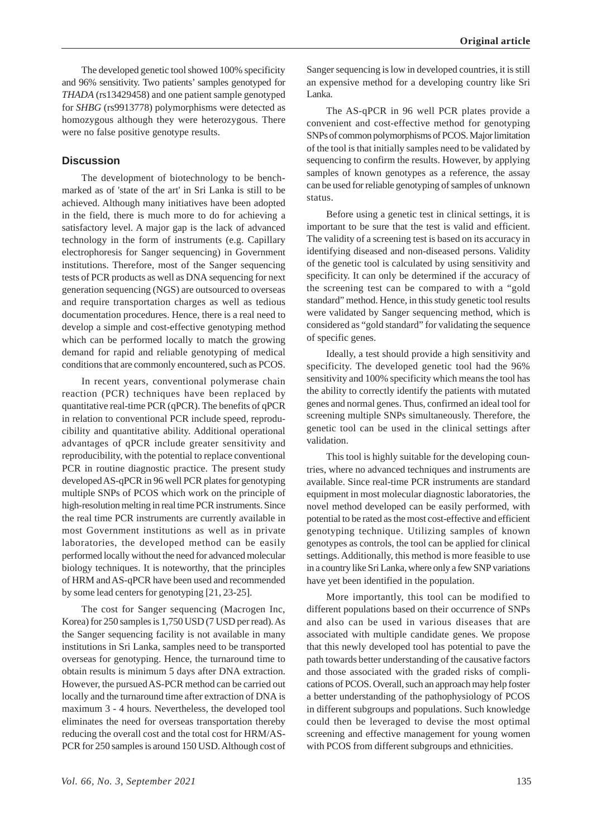The developed genetic tool showed 100% specificity and 96% sensitivity. Two patients' samples genotyped for *THADA* (rs13429458) and one patient sample genotyped for *SHBG* (rs9913778) polymorphisms were detected as homozygous although they were heterozygous. There were no false positive genotype results.

#### **Discussion**

The development of biotechnology to be benchmarked as of 'state of the art' in Sri Lanka is still to be achieved. Although many initiatives have been adopted in the field, there is much more to do for achieving a satisfactory level. A major gap is the lack of advanced technology in the form of instruments (e.g. Capillary electrophoresis for Sanger sequencing) in Government institutions. Therefore, most of the Sanger sequencing tests of PCR products as well as DNA sequencing for next generation sequencing (NGS) are outsourced to overseas and require transportation charges as well as tedious documentation procedures. Hence, there is a real need to develop a simple and cost-effective genotyping method which can be performed locally to match the growing demand for rapid and reliable genotyping of medical conditions that are commonly encountered, such as PCOS.

In recent years, conventional polymerase chain reaction (PCR) techniques have been replaced by quantitative real-time PCR (qPCR). The benefits of qPCR in relation to conventional PCR include speed, reproducibility and quantitative ability. Additional operational advantages of qPCR include greater sensitivity and reproducibility, with the potential to replace conventional PCR in routine diagnostic practice. The present study developed AS-qPCR in 96 well PCR plates for genotyping multiple SNPs of PCOS which work on the principle of high-resolution melting in real time PCR instruments. Since the real time PCR instruments are currently available in most Government institutions as well as in private laboratories, the developed method can be easily performed locally without the need for advanced molecular biology techniques. It is noteworthy, that the principles of HRM and AS-qPCR have been used and recommended by some lead centers for genotyping [21, 23-25].

The cost for Sanger sequencing (Macrogen Inc, Korea) for 250 samples is 1,750 USD (7 USD per read). As the Sanger sequencing facility is not available in many institutions in Sri Lanka, samples need to be transported overseas for genotyping. Hence, the turnaround time to obtain results is minimum 5 days after DNA extraction. However, the pursued AS-PCR method can be carried out locally and the turnaround time after extraction of DNA is maximum 3 - 4 hours. Nevertheless, the developed tool eliminates the need for overseas transportation thereby reducing the overall cost and the total cost for HRM/AS-PCR for 250 samples is around 150 USD. Although cost of Sanger sequencing is low in developed countries, it is still an expensive method for a developing country like Sri Lanka.

The AS-qPCR in 96 well PCR plates provide a convenient and cost-effective method for genotyping SNPs of common polymorphisms of PCOS. Major limitation of the tool is that initially samples need to be validated by sequencing to confirm the results. However, by applying samples of known genotypes as a reference, the assay can be used for reliable genotyping of samples of unknown status.

Before using a genetic test in clinical settings, it is important to be sure that the test is valid and efficient. The validity of a screening test is based on its accuracy in identifying diseased and non-diseased persons. Validity of the genetic tool is calculated by using sensitivity and specificity. It can only be determined if the accuracy of the screening test can be compared to with a "gold standard" method. Hence, in this study genetic tool results were validated by Sanger sequencing method, which is considered as "gold standard" for validating the sequence of specific genes.

Ideally, a test should provide a high sensitivity and specificity. The developed genetic tool had the 96% sensitivity and 100% specificity which means the tool has the ability to correctly identify the patients with mutated genes and normal genes. Thus, confirmed an ideal tool for screening multiple SNPs simultaneously. Therefore, the genetic tool can be used in the clinical settings after validation.

This tool is highly suitable for the developing countries, where no advanced techniques and instruments are available. Since real-time PCR instruments are standard equipment in most molecular diagnostic laboratories, the novel method developed can be easily performed, with potential to be rated as the most cost-effective and efficient genotyping technique. Utilizing samples of known genotypes as controls, the tool can be applied for clinical settings. Additionally, this method is more feasible to use in a country like Sri Lanka, where only a few SNP variations have yet been identified in the population.

More importantly, this tool can be modified to different populations based on their occurrence of SNPs and also can be used in various diseases that are associated with multiple candidate genes. We propose that this newly developed tool has potential to pave the path towards better understanding of the causative factors and those associated with the graded risks of complications of PCOS. Overall, such an approach may help foster a better understanding of the pathophysiology of PCOS in different subgroups and populations. Such knowledge could then be leveraged to devise the most optimal screening and effective management for young women with PCOS from different subgroups and ethnicities.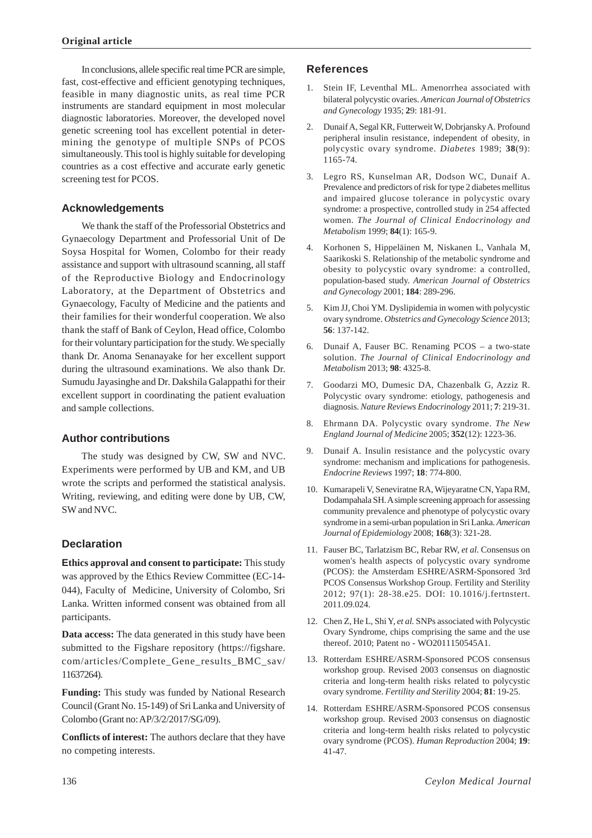In conclusions, allele specific real time PCR are simple, fast, cost-effective and efficient genotyping techniques, feasible in many diagnostic units, as real time PCR instruments are standard equipment in most molecular diagnostic laboratories. Moreover, the developed novel genetic screening tool has excellent potential in determining the genotype of multiple SNPs of PCOS simultaneously. This tool is highly suitable for developing countries as a cost effective and accurate early genetic screening test for PCOS.

### **Acknowledgements**

We thank the staff of the Professorial Obstetrics and Gynaecology Department and Professorial Unit of De Soysa Hospital for Women, Colombo for their ready assistance and support with ultrasound scanning, all staff of the Reproductive Biology and Endocrinology Laboratory, at the Department of Obstetrics and Gynaecology, Faculty of Medicine and the patients and their families for their wonderful cooperation. We also thank the staff of Bank of Ceylon, Head office, Colombo for their voluntary participation for the study. We specially thank Dr. Anoma Senanayake for her excellent support during the ultrasound examinations. We also thank Dr. Sumudu Jayasinghe and Dr. Dakshila Galappathi for their excellent support in coordinating the patient evaluation and sample collections.

#### **Author contributions**

The study was designed by CW, SW and NVC. Experiments were performed by UB and KM, and UB wrote the scripts and performed the statistical analysis. Writing, reviewing, and editing were done by UB, CW, SW and NVC.

# **Declaration**

**Ethics approval and consent to participate:** This study was approved by the Ethics Review Committee (EC-14- 044), Faculty of Medicine, University of Colombo, Sri Lanka. Written informed consent was obtained from all participants.

**Data access:** The data generated in this study have been submitted to the Figshare repository (https://figshare. com/articles/Complete\_Gene\_results\_BMC\_sav/ 11637264).

**Funding:** This study was funded by National Research Council (Grant No. 15-149) of Sri Lanka and University of Colombo (Grant no: AP/3/2/2017/SG/09).

**Conflicts of interest:** The authors declare that they have no competing interests.

### **References**

- 1. Stein IF, Leventhal ML. Amenorrhea associated with bilateral polycystic ovaries. *American Journal of Obstetrics and Gynecology* 1935; **2**9: 181-91.
- 2. Dunaif A, Segal KR, Futterweit W, Dobrjansky A. Profound peripheral insulin resistance, independent of obesity, in polycystic ovary syndrome. *Diabetes* 1989; **38**(9): 1165-74.
- 3. Legro RS, Kunselman AR, Dodson WC, Dunaif A. Prevalence and predictors of risk for type 2 diabetes mellitus and impaired glucose tolerance in polycystic ovary syndrome: a prospective, controlled study in 254 affected women. *The Journal of Clinical Endocrinology and Metabolism* 1999; **84**(1): 165-9.
- 4. Korhonen S, Hippeläinen M, Niskanen L, Vanhala M, Saarikoski S. Relationship of the metabolic syndrome and obesity to polycystic ovary syndrome: a controlled, population-based study. *American Journal of Obstetrics and Gynecology* 2001; **184**: 289-296.
- 5. Kim JJ, Choi YM. Dyslipidemia in women with polycystic ovary syndrome. *Obstetrics and Gynecology Science* 2013; **56**: 137-142.
- 6. Dunaif A, Fauser BC. Renaming PCOS a two-state solution. *The Journal of Clinical Endocrinology and Metabolism* 2013; **98**: 4325-8.
- 7. Goodarzi MO, Dumesic DA, Chazenbalk G, Azziz R. Polycystic ovary syndrome: etiology, pathogenesis and diagnosis. *Nature Reviews Endocrinology* 2011; **7**: 219-31.
- 8. Ehrmann DA. Polycystic ovary syndrome. *The New England Journal of Medicine* 2005; **352**(12): 1223-36.
- 9. Dunaif A. Insulin resistance and the polycystic ovary syndrome: mechanism and implications for pathogenesis. *Endocrine Reviews* 1997; **18**: 774-800.
- 10. Kumarapeli V, Seneviratne RA, Wijeyaratne CN, Yapa RM, Dodampahala SH. A simple screening approach for assessing community prevalence and phenotype of polycystic ovary syndrome in a semi-urban population in Sri Lanka. *American Journal of Epidemiology* 2008; **168**(3): 321-28.
- 11. Fauser BC, Tarlatzism BC, Rebar RW, *et al*. Consensus on women's health aspects of polycystic ovary syndrome (PCOS): the Amsterdam ESHRE/ASRM-Sponsored 3rd PCOS Consensus Workshop Group. Fertility and Sterility 2012; 97(1): 28-38.e25. DOI: 10.1016/j.fertnstert. 2011.09.024.
- 12. Chen Z, He L, Shi Y, *et al.* SNPs associated with Polycystic Ovary Syndrome, chips comprising the same and the use thereof. 2010; Patent no - WO2011150545A1.
- 13. Rotterdam ESHRE/ASRM-Sponsored PCOS consensus workshop group. Revised 2003 consensus on diagnostic criteria and long-term health risks related to polycystic ovary syndrome. *Fertility and Sterility* 2004; **81**: 19-25.
- 14. Rotterdam ESHRE/ASRM-Sponsored PCOS consensus workshop group. Revised 2003 consensus on diagnostic criteria and long-term health risks related to polycystic ovary syndrome (PCOS). *Human Reproduction* 2004; **19**: 41-47.